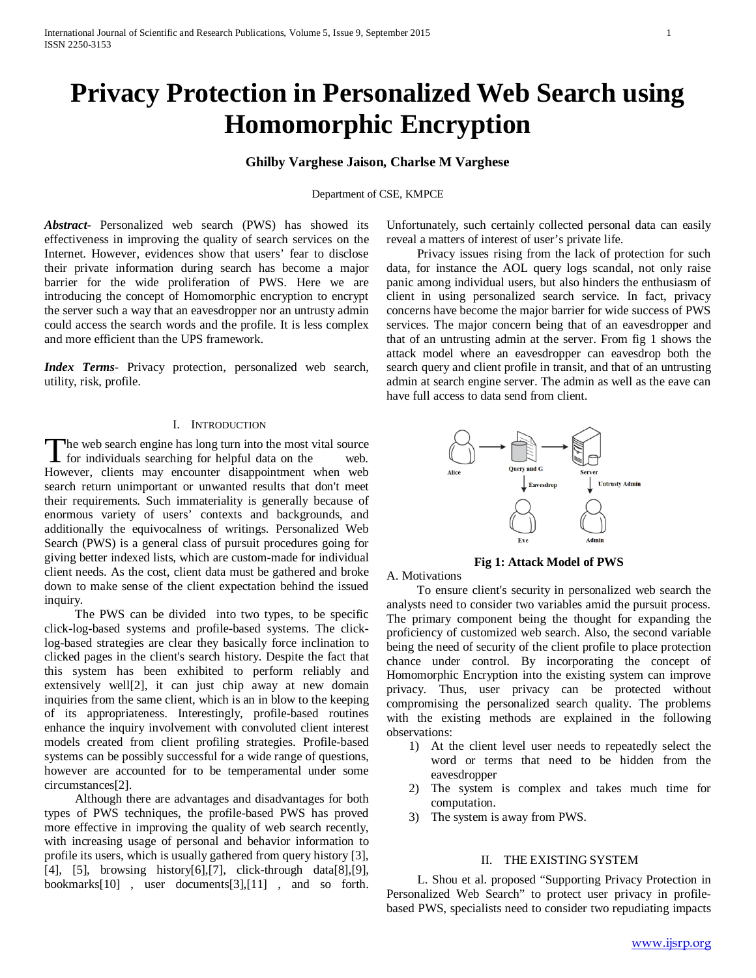# **Privacy Protection in Personalized Web Search using Homomorphic Encryption**

## **Ghilby Varghese Jaison, Charlse M Varghese**

Department of CSE, KMPCE

*Abstract***-** Personalized web search (PWS) has showed its effectiveness in improving the quality of search services on the Internet. However, evidences show that users' fear to disclose their private information during search has become a major barrier for the wide proliferation of PWS. Here we are introducing the concept of Homomorphic encryption to encrypt the server such a way that an eavesdropper nor an untrusty admin could access the search words and the profile. It is less complex and more efficient than the UPS framework.

*Index Terms*- Privacy protection, personalized web search, utility, risk, profile.

#### I. INTRODUCTION

The web search engine has long turn into the most vital source The web search engine has long turn into the most vital source<br>for individuals searching for helpful data on the web. However, clients may encounter disappointment when web search return unimportant or unwanted results that don't meet their requirements. Such immateriality is generally because of enormous variety of users' contexts and backgrounds, and additionally the equivocalness of writings. Personalized Web Search (PWS) is a general class of pursuit procedures going for giving better indexed lists, which are custom-made for individual client needs. As the cost, client data must be gathered and broke down to make sense of the client expectation behind the issued inquiry.

 The PWS can be divided into two types, to be specific click-log-based systems and profile-based systems. The clicklog-based strategies are clear they basically force inclination to clicked pages in the client's search history. Despite the fact that this system has been exhibited to perform reliably and extensively well[2], it can just chip away at new domain inquiries from the same client, which is an in blow to the keeping of its appropriateness. Interestingly, profile-based routines enhance the inquiry involvement with convoluted client interest models created from client profiling strategies. Profile-based systems can be possibly successful for a wide range of questions, however are accounted for to be temperamental under some circumstances[2].

 Although there are advantages and disadvantages for both types of PWS techniques, the profile-based PWS has proved more effective in improving the quality of web search recently, with increasing usage of personal and behavior information to profile its users, which is usually gathered from query history [3], [4], [5], browsing history[6],[7], click-through data[8],[9], bookmarks[10] , user documents[3],[11] , and so forth. Unfortunately, such certainly collected personal data can easily reveal a matters of interest of user's private life.

 Privacy issues rising from the lack of protection for such data, for instance the AOL query logs scandal, not only raise panic among individual users, but also hinders the enthusiasm of client in using personalized search service. In fact, privacy concerns have become the major barrier for wide success of PWS services. The major concern being that of an eavesdropper and that of an untrusting admin at the server. From fig 1 shows the attack model where an eavesdropper can eavesdrop both the search query and client profile in transit, and that of an untrusting admin at search engine server. The admin as well as the eave can have full access to data send from client.



**Fig 1: Attack Model of PWS**

A. Motivations

 To ensure client's security in personalized web search the analysts need to consider two variables amid the pursuit process. The primary component being the thought for expanding the proficiency of customized web search. Also, the second variable being the need of security of the client profile to place protection chance under control. By incorporating the concept of Homomorphic Encryption into the existing system can improve privacy. Thus, user privacy can be protected without compromising the personalized search quality. The problems with the existing methods are explained in the following observations:

- 1) At the client level user needs to repeatedly select the word or terms that need to be hidden from the eavesdropper
- 2) The system is complex and takes much time for computation.
- 3) The system is away from PWS.

#### II. THE EXISTING SYSTEM

 L. Shou et al. proposed "Supporting Privacy Protection in Personalized Web Search" to protect user privacy in profilebased PWS, specialists need to consider two repudiating impacts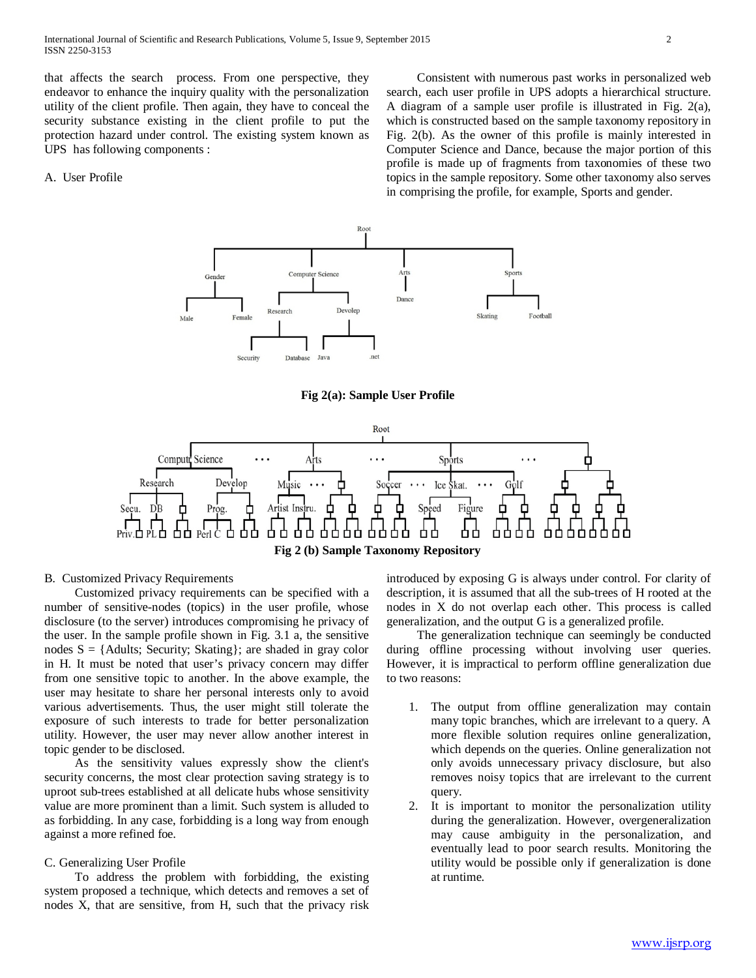International Journal of Scientific and Research Publications, Volume 5, Issue 9, September 2015 2 ISSN 2250-3153

that affects the search process. From one perspective, they endeavor to enhance the inquiry quality with the personalization utility of the client profile. Then again, they have to conceal the security substance existing in the client profile to put the protection hazard under control. The existing system known as UPS has following components :

## A. User Profile

 Consistent with numerous past works in personalized web search, each user profile in UPS adopts a hierarchical structure. A diagram of a sample user profile is illustrated in Fig. 2(a), which is constructed based on the sample taxonomy repository in Fig. 2(b). As the owner of this profile is mainly interested in Computer Science and Dance, because the major portion of this profile is made up of fragments from taxonomies of these two topics in the sample repository. Some other taxonomy also serves in comprising the profile, for example, Sports and gender.



**Fig 2(a): Sample User Profile**



### B. Customized Privacy Requirements

 Customized privacy requirements can be specified with a number of sensitive-nodes (topics) in the user profile, whose disclosure (to the server) introduces compromising he privacy of the user. In the sample profile shown in Fig. 3.1 a, the sensitive nodes  $S = \{A \text{dults};$  Security; Skating}; are shaded in gray color in H. It must be noted that user's privacy concern may differ from one sensitive topic to another. In the above example, the user may hesitate to share her personal interests only to avoid various advertisements. Thus, the user might still tolerate the exposure of such interests to trade for better personalization utility. However, the user may never allow another interest in topic gender to be disclosed.

 As the sensitivity values expressly show the client's security concerns, the most clear protection saving strategy is to uproot sub-trees established at all delicate hubs whose sensitivity value are more prominent than a limit. Such system is alluded to as forbidding. In any case, forbidding is a long way from enough against a more refined foe.

#### C. Generalizing User Profile

 To address the problem with forbidding, the existing system proposed a technique, which detects and removes a set of nodes X, that are sensitive, from H, such that the privacy risk introduced by exposing G is always under control. For clarity of description, it is assumed that all the sub-trees of H rooted at the nodes in X do not overlap each other. This process is called generalization, and the output G is a generalized profile.

 The generalization technique can seemingly be conducted during offline processing without involving user queries. However, it is impractical to perform offline generalization due to two reasons:

- 1. The output from offline generalization may contain many topic branches, which are irrelevant to a query. A more flexible solution requires online generalization, which depends on the queries. Online generalization not only avoids unnecessary privacy disclosure, but also removes noisy topics that are irrelevant to the current query.
- 2. It is important to monitor the personalization utility during the generalization. However, overgeneralization may cause ambiguity in the personalization, and eventually lead to poor search results. Monitoring the utility would be possible only if generalization is done at runtime.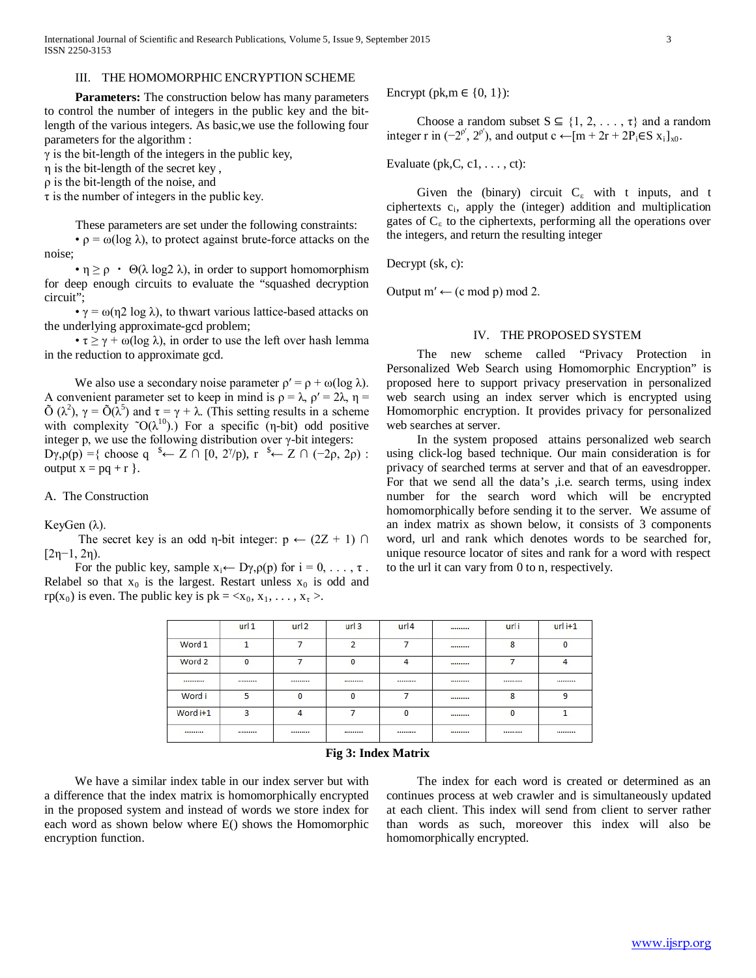### III. THE HOMOMORPHIC ENCRYPTION SCHEME

 **Parameters:** The construction below has many parameters to control the number of integers in the public key and the bitlength of the various integers. As basic,we use the following four parameters for the algorithm :

 $\gamma$  is the bit-length of the integers in the public key,

η is the bit-length of the secret key ,

ρ is the bit-length of the noise, and

 $\tau$  is the number of integers in the public key.

These parameters are set under the following constraints:

 $\cdot \rho = \omega(\log \lambda)$ , to protect against brute-force attacks on the noise;

•  $\eta \ge \rho$  •  $\Theta(\lambda \log 2 \lambda)$ , in order to support homomorphism for deep enough circuits to evaluate the "squashed decryption circuit";

•  $\gamma = \omega(\eta 2 \log \lambda)$ , to thwart various lattice-based attacks on the underlying approximate-gcd problem;

•  $\tau \ge \gamma + \omega(\log \lambda)$ , in order to use the left over hash lemma in the reduction to approximate gcd.

We also use a secondary noise parameter  $\rho' = \rho + \omega(\log \lambda)$ . A convenient parameter set to keep in mind is  $\rho = \lambda$ ,  $\rho' = 2\lambda$ ,  $\eta =$  $\tilde{O}(\lambda^2)$ ,  $\gamma = \tilde{O}(\lambda^5)$  and  $\tau = \gamma + \lambda$ . (This setting results in a scheme with complexity  $\tilde{O}(\lambda^{10})$ .) For a specific (η-bit) odd positive integer p, we use the following distribution over  $\gamma$ -bit integers:

 $D\gamma$ , $\rho(p) = \{$  choose q  $\rightarrow \sim Z \cap [0, 2^{\gamma}/p)$ , r  $\rightarrow \sim Z \cap (-2\rho, 2\rho)$ : output  $x = pq + r$  }.

## A. The Construction

KeyGen (λ).

The secret key is an odd η-bit integer:  $p \leftarrow (2Z + 1) \cap$ [2η−1, 2η).

For the public key, sample  $x_i \leftarrow D\gamma, \rho(p)$  for  $i = 0, \ldots, \tau$ . Relabel so that  $x_0$  is the largest. Restart unless  $x_0$  is odd and rp(x<sub>0</sub>) is even. The public key is  $pk = \langle x_0, x_1, \ldots, x_{\tau} \rangle$ .

Encrypt (pk, m  $\in \{0, 1\}$ ):

Choose a random subset  $S \subseteq \{1, 2, ..., \tau\}$  and a random integer r in  $(-2^{p'}, 2^{p'})$ , and output c ←[m + 2r + 2P<sub>i</sub>∈S x<sub>i</sub>]<sub>x0</sub>.

Evaluate ( $pk, C, c1, \ldots, ct$ ):

Given the (binary) circuit  $C_{\varepsilon}$  with t inputs, and t ciphertexts  $c_i$ , apply the (integer) addition and multiplication gates of  $C_{\varepsilon}$  to the ciphertexts, performing all the operations over the integers, and return the resulting integer

Decrypt (sk, c):

Output  $m' \leftarrow (c \mod p) \mod 2$ .

#### IV. THE PROPOSED SYSTEM

 The new scheme called "Privacy Protection in Personalized Web Search using Homomorphic Encryption" is proposed here to support privacy preservation in personalized web search using an index server which is encrypted using Homomorphic encryption. It provides privacy for personalized web searches at server.

 In the system proposed attains personalized web search using click-log based technique. Our main consideration is for privacy of searched terms at server and that of an eavesdropper. For that we send all the data's ,i.e. search terms, using index number for the search word which will be encrypted homomorphically before sending it to the server. We assume of an index matrix as shown below, it consists of 3 components word, url and rank which denotes words to be searched for, unique resource locator of sites and rank for a word with respect to the url it can vary from 0 to n, respectively.

|          | url 1        | url 2     | url 3    | url 4 | <br>urli     | $urli+1$ |
|----------|--------------|-----------|----------|-------|--------------|----------|
| Word 1   |              |           | o        |       | <br>8        | 0        |
| Word 2   | $\mathbf{0}$ |           | $\bf{0}$ | 4     |              | 4        |
|          |              |           |          |       | <br>         |          |
| Word i   | 5            | $\Omega$  | $\theta$ |       | <br>8        | 9        |
| Word i+1 | 3            | 4         |          | 0     | <br>$\Omega$ |          |
|          |              | --------- |          |       | <br>         |          |

## **Fig 3: Index Matrix**

 We have a similar index table in our index server but with a difference that the index matrix is homomorphically encrypted in the proposed system and instead of words we store index for each word as shown below where E() shows the Homomorphic encryption function.

 The index for each word is created or determined as an continues process at web crawler and is simultaneously updated at each client. This index will send from client to server rather than words as such, moreover this index will also be homomorphically encrypted.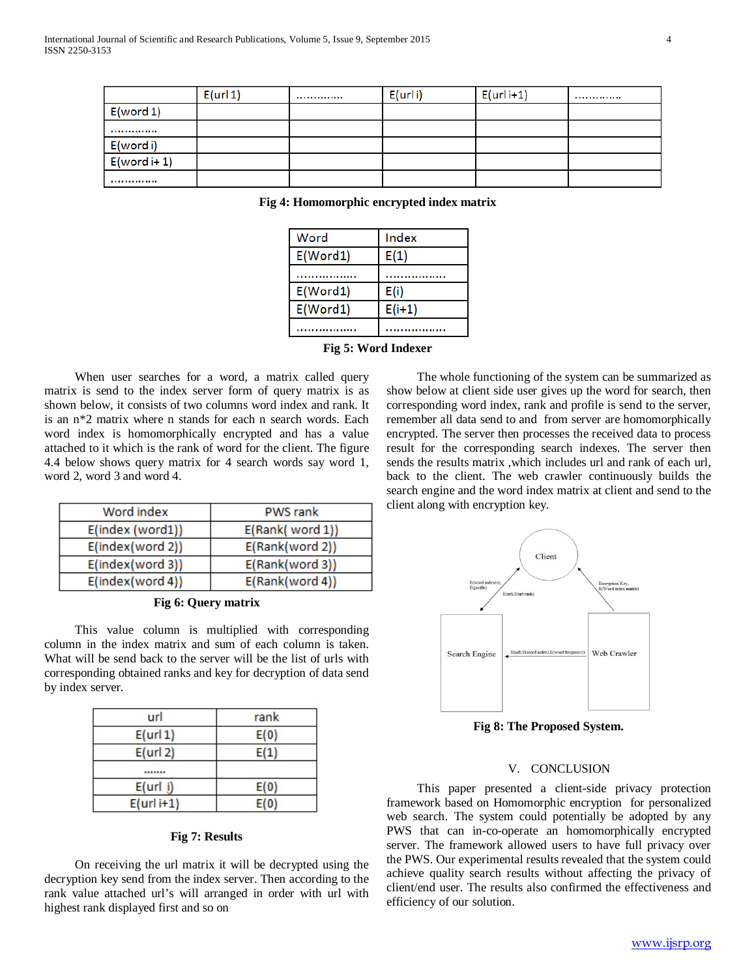|               | E(url 1) | <br>E(urli) | $E(urli+1)$ |  |
|---------------|----------|-------------|-------------|--|
| E(word 1)     |          |             |             |  |
|               |          |             |             |  |
| E(word i)     |          |             |             |  |
| $E(word + 1)$ |          |             |             |  |
|               |          |             |             |  |

| Word     | Index    |  |
|----------|----------|--|
| E(Word1) | E(1)     |  |
|          |          |  |
| E(Word1) | E(i)     |  |
| E(Word1) | $E(i+1)$ |  |
|          |          |  |

## **Fig 4: Homomorphic encrypted index matrix**

|  |  |  | Fig 5: Word Indexer |  |
|--|--|--|---------------------|--|
|--|--|--|---------------------|--|

 When user searches for a word, a matrix called query matrix is send to the index server form of query matrix is as shown below, it consists of two columns word index and rank. It is an n\*2 matrix where n stands for each n search words. Each word index is homomorphically encrypted and has a value attached to it which is the rank of word for the client. The figure 4.4 below shows query matrix for 4 search words say word 1, word 2, word 3 and word 4.

| Word index       | <b>PWS</b> rank |  |  |
|------------------|-----------------|--|--|
| E(index (word1)) | E(Rank(word 1)) |  |  |
| E(index(word 2)) | E(Rank(word 2)) |  |  |
| E(index(word 3)) | E(Rank(word 3)) |  |  |
| E(index(word 4)) | E(Rank(word 4)) |  |  |

## **Fig 6: Query matrix**

 This value column is multiplied with corresponding column in the index matrix and sum of each column is taken. What will be send back to the server will be the list of urls with corresponding obtained ranks and key for decryption of data send by index server.

| url          | rank |
|--------------|------|
| $E($ url 1)  | E(0) |
| E(url 2)     | E(1) |
| -------      |      |
| E(url i)     | E(0) |
| $E(url i+1)$ | E(0) |

## **Fig 7: Results**

 On receiving the url matrix it will be decrypted using the decryption key send from the index server. Then according to the rank value attached url's will arranged in order with url with highest rank displayed first and so on

 The whole functioning of the system can be summarized as show below at client side user gives up the word for search, then corresponding word index, rank and profile is send to the server, remember all data send to and from server are homomorphically encrypted. The server then processes the received data to process result for the corresponding search indexes. The server then sends the results matrix ,which includes url and rank of each url, back to the client. The web crawler continuously builds the search engine and the word index matrix at client and send to the client along with encryption key.



**Fig 8: The Proposed System.**

#### V. CONCLUSION

 This paper presented a client-side privacy protection framework based on Homomorphic encryption for personalized web search. The system could potentially be adopted by any PWS that can in-co-operate an homomorphically encrypted server. The framework allowed users to have full privacy over the PWS. Our experimental results revealed that the system could achieve quality search results without affecting the privacy of client/end user. The results also confirmed the effectiveness and efficiency of our solution.